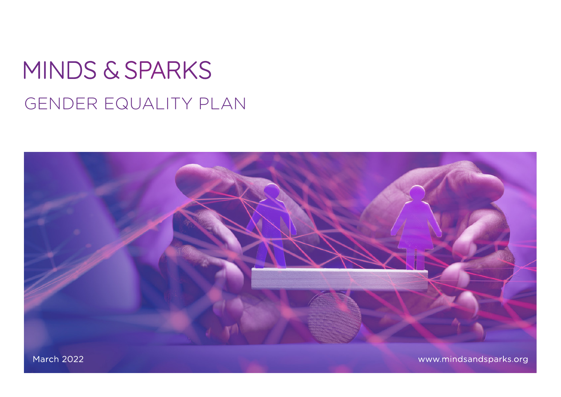# MINDS & SPARKS GENDER EQUALITY PLAN



**March 2022** 

www.mindsandsparks.org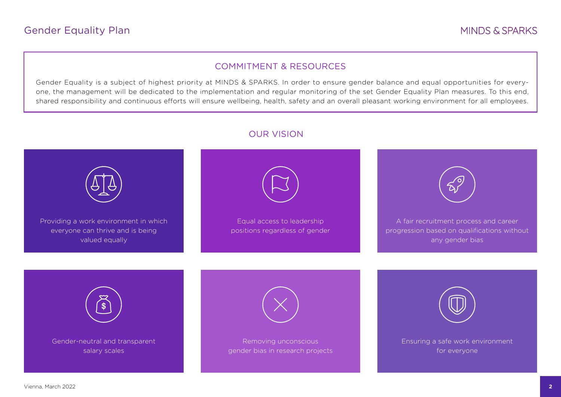#### COMMITMENT & RESOURCES

Gender Equality is a subject of highest priority at MINDS & SPARKS. In order to ensure gender balance and equal opportunities for everyone, the management will be dedicated to the implementation and regular monitoring of the set Gender Equality Plan measures. To this end, shared responsibility and continuous efforts will ensure wellbeing, health, safety and an overall pleasant working environment for all employees.



### OUR VISION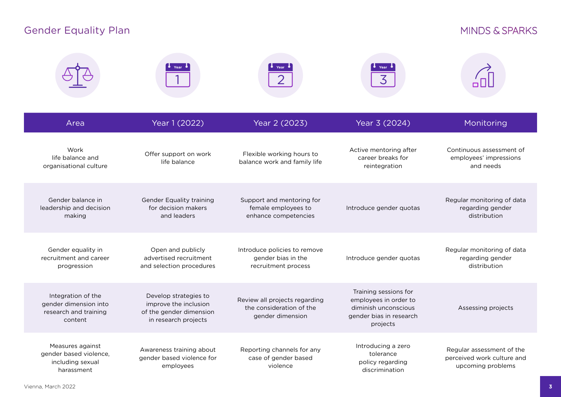## Gender Equality Plan

## MINDS & SPARKS

|                                                                                 |                                                                                                   |                                                                               | 3                                                                                                             |                                                                              |
|---------------------------------------------------------------------------------|---------------------------------------------------------------------------------------------------|-------------------------------------------------------------------------------|---------------------------------------------------------------------------------------------------------------|------------------------------------------------------------------------------|
| Area                                                                            | Year 1 (2022)                                                                                     | Year 2 (2023)                                                                 | Year 3 (2024)                                                                                                 | Monitoring                                                                   |
| Work<br>life balance and<br>organisational culture                              | Offer support on work<br>life balance                                                             | Flexible working hours to<br>balance work and family life                     | Active mentoring after<br>career breaks for<br>reintegration                                                  | Continuous assessment of<br>employees' impressions<br>and needs              |
| Gender balance in<br>leadership and decision<br>making                          | <b>Gender Equality training</b><br>for decision makers<br>and leaders                             | Support and mentoring for<br>female employees to<br>enhance competencies      | Introduce gender quotas                                                                                       | Regular monitoring of data<br>regarding gender<br>distribution               |
| Gender equality in<br>recruitment and career<br>progression                     | Open and publicly<br>advertised recruitment<br>and selection procedures                           | Introduce policies to remove<br>gender bias in the<br>recruitment process     | Introduce gender quotas                                                                                       | Regular monitoring of data<br>regarding gender<br>distribution               |
| Integration of the<br>gender dimension into<br>research and training<br>content | Develop strategies to<br>improve the inclusion<br>of the gender dimension<br>in research projects | Review all projects regarding<br>the consideration of the<br>gender dimension | Training sessions for<br>employees in order to<br>diminish unconscious<br>gender bias in research<br>projects | Assessing projects                                                           |
| Measures against<br>gender based violence,<br>including sexual<br>harassment    | Awareness training about<br>gender based violence for<br>employees                                | Reporting channels for any<br>case of gender based<br>violence                | Introducing a zero<br>tolerance<br>policy regarding<br>discrimination                                         | Regular assessment of the<br>perceived work culture and<br>upcoming problems |